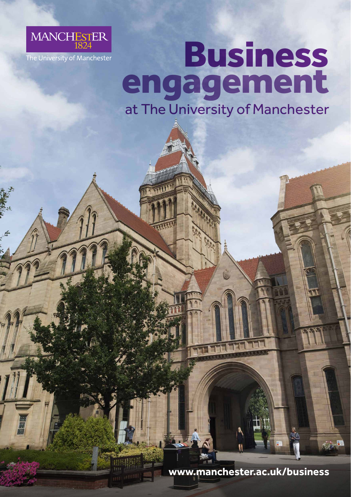

## Business engagement at The University of Manchester

**www.manchester.ac.uk/business**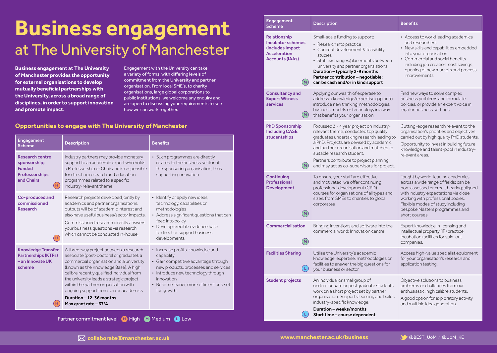## **Business engagement** at The University of Manchester

**Business engagement at The University of Manchester provides the opportunity for external organisations to develop mutually beneficial partnerships with the University, across a broad range of disciplines, in order to support innovation and promote impact.**

Engagement with the University can take a variety of forms, with differing levels of commitment from the University and partner organisation. From local SME's, to charity organisations, large global corporations to public institutions, we welcome any enquiry and are open to discussing your requirements to see how we can work together.

## **Opportunities to engage with The University of Manchester**

| Engagement<br><b>Scheme</b>                                                                                                  | <b>Description</b>                                                                                                                                                                                                                                                                                                                                                                                     | <b>Benefits</b>                                                                                                                                                                                                                              |
|------------------------------------------------------------------------------------------------------------------------------|--------------------------------------------------------------------------------------------------------------------------------------------------------------------------------------------------------------------------------------------------------------------------------------------------------------------------------------------------------------------------------------------------------|----------------------------------------------------------------------------------------------------------------------------------------------------------------------------------------------------------------------------------------------|
| <b>Research centre</b><br>sponsorship;<br><b>Funded</b><br><b>Professorships</b><br>and Chairs<br>$\left( \mathsf{H}\right)$ | Industry partners may provide monetary<br>support to an academic expert who holds<br>a Professorship or Chair and is responsible<br>for directing research and education<br>programmes related to a specific<br>industry-relevant theme.                                                                                                                                                               | • Such programmes are directly<br>related to the business sector of<br>the sponsoring organisation, thus<br>supporting innovation.                                                                                                           |
| Co-produced and<br>commissioned<br><b>Research</b><br>(H)                                                                    | Research projects developed jointly by<br>academics and partner organisations,<br>outputs will be of academic interest and<br>also have useful business/sector impacts.<br>Commissioned research directly answers<br>your business questions via research<br>which cannot be conducted in-house.                                                                                                       | · Identify or apply new ideas,<br>technology, capabilities or<br>methodologies<br>• Address significant questions that can<br>feed into policy<br>· Develop credible evidence base<br>to direct or support business<br>developments          |
| <b>Knowledge Transfer</b><br><b>Partnerships (KTPs)</b><br>- an Innovate UK<br>scheme                                        | A three-way project between a research<br>associate (post-doctoral or graduate), a<br>commercial organisation and a university<br>(known as the Knowledge Base). A high<br>calibre recently qualified individual from<br>the university leads a strategic project<br>within the partner organisation with<br>ongoing support from senior academics.<br>Duration - 12-36 months<br>Max grant rate - 67% | • Increase profits, knowledge and<br>capability<br>• Gain competitive advantage through<br>new products, processes and services<br>• Introduce new technology through<br>innovation<br>• Become leaner, more efficient and set<br>for growth |

| Engagement<br><b>Scheme</b>                                                                                                  | <b>Description</b>                                                                                                                                                                                                                                                                                                                          | <b>Benefits</b>                                                                                                                                                                                                                                                                             |
|------------------------------------------------------------------------------------------------------------------------------|---------------------------------------------------------------------------------------------------------------------------------------------------------------------------------------------------------------------------------------------------------------------------------------------------------------------------------------------|---------------------------------------------------------------------------------------------------------------------------------------------------------------------------------------------------------------------------------------------------------------------------------------------|
| Relationship<br><b>Incubator schemes</b><br>(includes Impact<br><b>Acceleration</b><br><b>Accounts (IAAs)</b><br>$(\,$ M $)$ | Small-scale funding to support:<br>• Research into practice<br>• Concept development & feasibility<br>studies<br>· Staff exchanges/placements between<br>university and partner organsiations<br>Duration - typically 2-9 months<br>Partner contribution - negotiable;<br>can be cash and/or in kind support                                | • Access to world leading academics<br>and researchers<br>• New skills and capabilities embedded<br>into your organisation<br>• Commercial and social benefits<br>including job creation, cost savings,<br>opening of new markets and process<br>improvements                               |
| <b>Consultancy and</b><br><b>Expert Witness</b><br>services<br>$\binom{N}{k}$                                                | Applying our wealth of expertise to<br>address a knowledge/expertise gap or to<br>introduce new thinking, methodologies,<br>business models or technology in a way<br>that benefits your organisation                                                                                                                                       | Find new ways to solve complex<br>business problems and formulate<br>policies, or provide an expert voice in<br>legal or business settings                                                                                                                                                  |
| <b>PhD Sponsorship</b><br><b>Including CASE</b><br>studentships                                                              | Focussed 3 - 4 year project on industry-<br>relevant theme, conducted top quality<br>graduates undertaking research leading to<br>a PhD. Projects are devised by academic<br>and partner organisation and matched to<br>suitable research student.<br>Partners contribute to project planning<br>and may act as co-supervisors for project. | Cutting-edge research relevant to the<br>organisation's priorities and objectives<br>carried out by high quality PhD students.<br>Opportunity to invest in building future<br>knowledge and talent-pool in industry-<br>relevant areas.                                                     |
| Continuing<br>Professional<br><b>Development</b><br>M                                                                        | To ensure your staff are effective<br>and motivated, we offer continuing<br>professional development (CPD)<br>courses for organisations of all types and<br>sizes, from SMEs to charities to global<br>corporates                                                                                                                           | Taught by world-leading academics<br>across a wide range of fields; can be<br>non-assessed or credit bearing; aligned<br>with industry expectations via close<br>working with professional bodies.<br>Flexible modes of study including<br>bespoke Masters programmes and<br>short courses. |
| <b>Commercialisation</b><br>$(\sf M)$                                                                                        | Bringing inventions and software into the<br>commercial world; Innovation centre                                                                                                                                                                                                                                                            | Expert knowledge in licensing and<br>intellectual property (IP) practice;<br>Incubation facilities for spin-out<br>companies.                                                                                                                                                               |
| <b>Facilities Sharing</b><br>Ĺ.                                                                                              | Utilise the University's academic<br>knowledge, expertise, methodologies or<br>facilities to answer the big questions for<br>your business or sector                                                                                                                                                                                        | Access high-value specialist equipment<br>for your organisation's research and<br>application testing.                                                                                                                                                                                      |
| <b>Student projects</b>                                                                                                      | An individual or small group of<br>undergraduate or postgraduate students<br>work on a short project set by partner<br>organisation. Supports learning and builds<br>industry-specific knowledge.<br>Duration - weeks/months<br>Start time - course dependent                                                                               | Objective solutions to business<br>problems or challenges from our<br>enthusiastic, high calibre students.<br>A good option for exploratory activity<br>and multiple idea generation.                                                                                                       |

Partner commitment level **H** High **M** Medium **C** Low